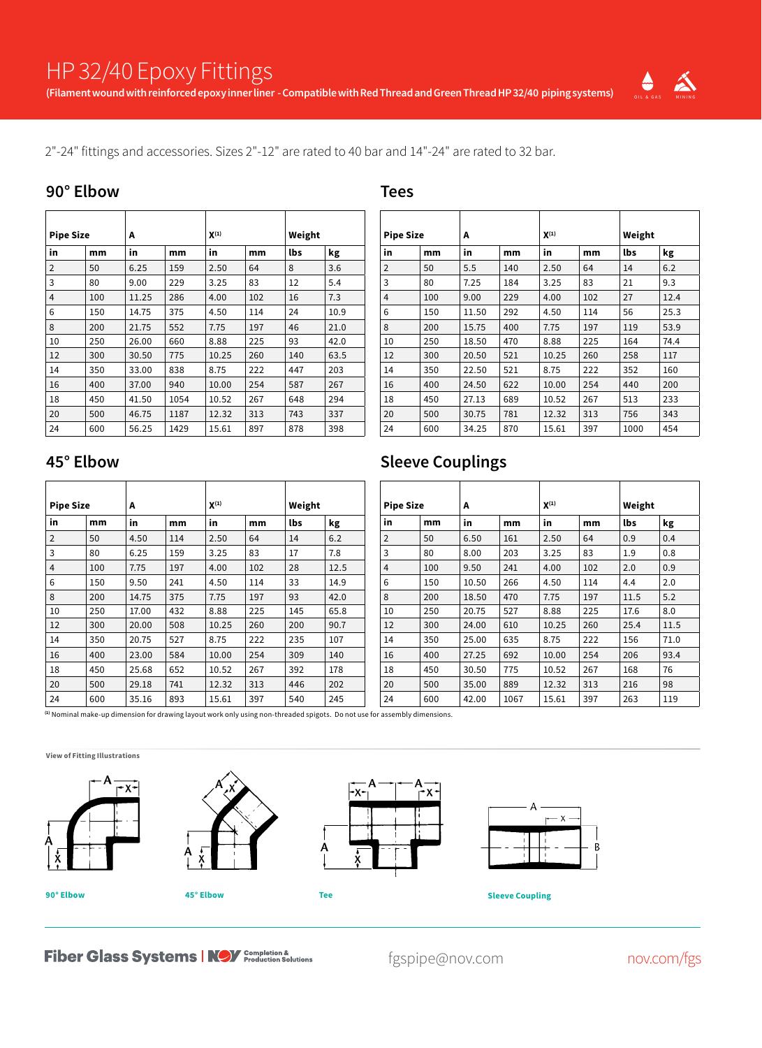**Tees**



2"-24" fittings and accessories. Sizes 2"-12" are rated to 40 bar and 14"-24" are rated to 32 bar.

#### **90° Elbow**

| <b>Pipe Size</b> |     | A     |      | $X^{(1)}$ |     | Weight |      |  |  |
|------------------|-----|-------|------|-----------|-----|--------|------|--|--|
| in               | mm  | in    | mm   | in        | mm  | lbs    | kg   |  |  |
| $\overline{2}$   | 50  | 6.25  | 159  | 2.50      | 64  | 8      | 3.6  |  |  |
| 3                | 80  | 9.00  | 229  | 3.25      | 83  | 12     | 5.4  |  |  |
| $\overline{4}$   | 100 | 11.25 | 286  | 4.00      | 102 | 16     | 7.3  |  |  |
| 6                | 150 | 14.75 | 375  | 4.50      | 114 | 24     | 10.9 |  |  |
| 8                | 200 | 21.75 | 552  | 7.75      | 197 | 46     | 21.0 |  |  |
| 10               | 250 | 26.00 | 660  | 8.88      | 225 | 93     | 42.0 |  |  |
| 12               | 300 | 30.50 | 775  | 10.25     | 260 | 140    | 63.5 |  |  |
| 14               | 350 | 33.00 | 838  | 8.75      | 222 | 447    | 203  |  |  |
| 16               | 400 | 37.00 | 940  | 10.00     | 254 | 587    | 267  |  |  |
| 18               | 450 | 41.50 | 1054 | 10.52     | 267 | 648    | 294  |  |  |
| 20               | 500 | 46.75 | 1187 | 12.32     | 313 | 743    | 337  |  |  |
| 24               | 600 | 56.25 | 1429 | 15.61     | 897 | 878    | 398  |  |  |

| <b>Pipe Size</b> |     | A            |     | $X^{(1)}$ |     | Weight |      |  |  |
|------------------|-----|--------------|-----|-----------|-----|--------|------|--|--|
| in               | mm  | in           | mm  | in        | mm  | lbs    | kg   |  |  |
| $\overline{2}$   | 50  | 5.5          | 140 | 2.50      | 64  | 14     | 6.2  |  |  |
| 3                | 80  | 7.25         | 184 | 3.25      | 83  | 21     | 9.3  |  |  |
| $\overline{4}$   | 100 | 9.00         | 229 | 4.00      | 102 | 27     | 12.4 |  |  |
| 6                | 150 | 11.50        | 292 | 4.50      | 114 | 56     | 25.3 |  |  |
| 8                | 200 | 15.75        | 400 | 7.75      | 197 | 119    | 53.9 |  |  |
| 10               | 250 | 18.50        | 470 | 8.88      | 225 | 164    | 74.4 |  |  |
| 12               | 300 | 20.50        | 521 | 10.25     | 260 | 258    | 117  |  |  |
| 14               | 350 | 22.50        | 521 | 8.75      | 222 | 352    | 160  |  |  |
| 16               | 400 | 24.50        | 622 | 10.00     | 254 | 440    | 200  |  |  |
| 18               | 450 | 27.13        | 689 | 10.52     | 267 | 513    | 233  |  |  |
| 20               | 500 | 781<br>30.75 |     | 12.32     | 313 | 756    |      |  |  |
| 24               | 600 | 34.25        | 870 | 15.61     | 397 | 1000   | 454  |  |  |

#### **45° Elbow**

| <b>Pipe Size</b> |              | A     |     | $X^{(1)}$ |     | Weight |      |  |
|------------------|--------------|-------|-----|-----------|-----|--------|------|--|
| in               | mm           | in    | mm  | in        | mm  | lbs    | kg   |  |
| $\overline{2}$   | 50           | 4.50  | 114 | 2.50      | 64  | 14     | 6.2  |  |
| 3                | 80           | 6.25  | 159 | 3.25      | 83  | 17     | 7.8  |  |
| 4                | 100          | 7.75  | 197 | 4.00      | 102 | 28     | 12.5 |  |
| 6                | 150          | 9.50  | 241 | 4.50      | 114 | 33     | 14.9 |  |
| 8                | 200          | 14.75 | 375 | 7.75      | 197 | 93     | 42.0 |  |
| 10               | 250          | 17.00 | 432 | 8.88      | 225 | 145    | 65.8 |  |
| 12               | 300          | 20.00 | 508 | 10.25     | 260 | 200    | 90.7 |  |
| 14               | 350          | 20.75 | 527 | 8.75      | 222 | 235    | 107  |  |
| 16               | 400          | 23.00 | 584 | 10.00     | 254 | 309    | 140  |  |
| 18               | 450          | 25.68 | 652 | 10.52     | 267 | 392    | 178  |  |
| 20               | 500          | 29.18 | 741 | 12.32     | 313 | 446    | 202  |  |
| 24               | 600<br>35.16 |       | 893 | 15.61     | 397 | 540    | 245  |  |

### **Sleeve Couplings**

| <b>Pipe Size</b> |     | A     |      | $X^{(1)}$ |     |      | Weight |  |  |
|------------------|-----|-------|------|-----------|-----|------|--------|--|--|
| in               | mm  | in    | mm   | in        | mm  | lbs  | kg     |  |  |
| $\overline{2}$   | 50  | 6.50  | 161  | 2.50      | 64  | 0.9  | 0.4    |  |  |
| 3                | 80  | 8.00  | 203  | 3.25      | 83  | 1.9  | 0.8    |  |  |
| $\overline{4}$   | 100 | 9.50  | 241  | 4.00      | 102 | 2.0  | 0.9    |  |  |
| 6                | 150 | 10.50 | 266  | 4.50      | 114 | 4.4  | 2.0    |  |  |
| 8                | 200 | 18.50 | 470  | 7.75      | 197 | 11.5 | 5.2    |  |  |
| 10               | 250 | 20.75 | 527  | 8.88      | 225 | 17.6 | 8.0    |  |  |
| 12               | 300 | 24.00 | 610  | 10.25     | 260 | 25.4 | 11.5   |  |  |
| 14               | 350 | 25.00 | 635  | 8.75      | 222 | 156  | 71.0   |  |  |
| 16               | 400 | 27.25 | 692  | 10.00     | 254 | 206  | 93.4   |  |  |
| 18               | 450 | 30.50 | 775  | 10.52     | 267 | 168  | 76     |  |  |
| 20               | 500 | 35.00 | 889  | 12.32     | 313 | 216  | 98     |  |  |
| 24               | 600 | 42.00 | 1067 | 15.61     | 397 | 263  | 119    |  |  |

**(1)** Nominal make-up dimension for drawing layout work only using non-threaded spigots. Do not use for assembly dimensions.

**View of Fitting Illustrations**









**Fiber Glass Systems | NOV** Completion &

fgspipe@nov.com nov.com/fgs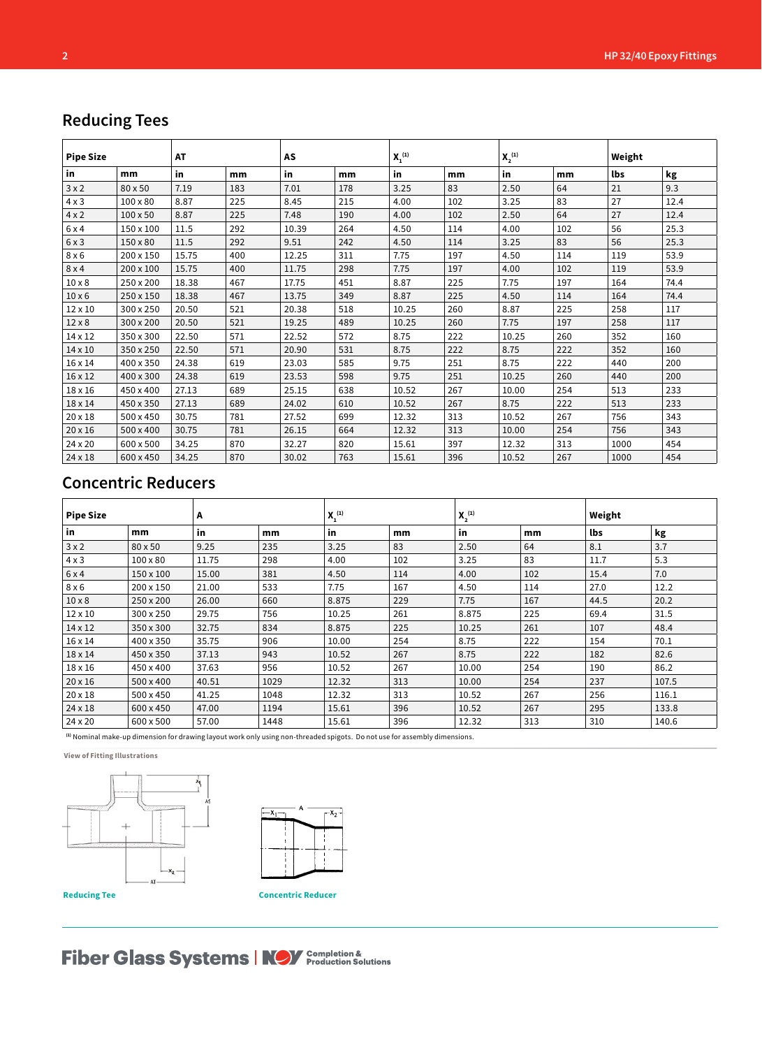## **Reducing Tees**

| <b>Pipe Size</b> |                 | <b>AT</b> |     | AS    |     |       | $X_1^{(1)}$ |       |     | Weight |      |
|------------------|-----------------|-----------|-----|-------|-----|-------|-------------|-------|-----|--------|------|
| in               | mm              | in        | mm  | in    | mm  | in    | mm          | in    | mm  | lbs    | kg   |
| 3x2              | 80 x 50         | 7.19      | 183 | 7.01  | 178 | 3.25  | 83          | 2.50  | 64  | 21     | 9.3  |
| $4 \times 3$     | $100 \times 80$ | 8.87      | 225 | 8.45  | 215 | 4.00  | 102         | 3.25  | 83  | 27     | 12.4 |
| $4 \times 2$     | $100 \times 50$ | 8.87      | 225 | 7.48  | 190 | 4.00  | 102         | 2.50  | 64  | 27     | 12.4 |
| 6x4              | 150 x 100       | 11.5      | 292 | 10.39 | 264 | 4.50  | 114         | 4.00  | 102 | 56     | 25.3 |
| 6x3              | 150 x 80        | 11.5      | 292 | 9.51  | 242 | 4.50  | 114         | 3.25  | 83  | 56     | 25.3 |
| $8 \times 6$     | 200 x 150       | 15.75     | 400 | 12.25 | 311 | 7.75  | 197         | 4.50  | 114 | 119    | 53.9 |
| 8x4              | 200 x 100       | 15.75     | 400 | 11.75 | 298 | 7.75  | 197         | 4.00  | 102 | 119    | 53.9 |
| $10 \times 8$    | 250 x 200       | 18.38     | 467 | 17.75 | 451 | 8.87  | 225         | 7.75  | 197 | 164    | 74.4 |
| $10 \times 6$    | 250 x 150       | 18.38     | 467 | 13.75 | 349 | 8.87  | 225         | 4.50  | 114 | 164    | 74.4 |
| 12 x 10          | 300 x 250       | 20.50     | 521 | 20.38 | 518 | 10.25 | 260         | 8.87  | 225 | 258    | 117  |
| $12 \times 8$    | 300 x 200       | 20.50     | 521 | 19.25 | 489 | 10.25 | 260         | 7.75  | 197 | 258    | 117  |
| 14 x 12          | 350 x 300       | 22.50     | 571 | 22.52 | 572 | 8.75  | 222         | 10.25 | 260 | 352    | 160  |
| 14 x 10          | 350 x 250       | 22.50     | 571 | 20.90 | 531 | 8.75  | 222         | 8.75  | 222 | 352    | 160  |
| 16 x 14          | 400 x 350       | 24.38     | 619 | 23.03 | 585 | 9.75  | 251         | 8.75  | 222 | 440    | 200  |
| 16 x 12          | 400 x 300       | 24.38     | 619 | 23.53 | 598 | 9.75  | 251         | 10.25 | 260 | 440    | 200  |
| 18 x 16          | 450 x 400       | 27.13     | 689 | 25.15 | 638 | 10.52 | 267         | 10.00 | 254 | 513    | 233  |
| 18 x 14          | 450 x 350       | 27.13     | 689 | 24.02 | 610 | 10.52 | 267         | 8.75  | 222 | 513    | 233  |
| 20 x 18          | 500 x 450       | 30.75     | 781 | 27.52 | 699 | 12.32 | 313         | 10.52 | 267 | 756    | 343  |
| 20 x 16          | 500 x 400       | 30.75     | 781 | 26.15 | 664 | 12.32 | 313         | 10.00 | 254 | 756    | 343  |
| 24 x 20          | 600 x 500       | 34.25     | 870 | 32.27 | 820 | 15.61 | 397         | 12.32 | 313 | 1000   | 454  |
| 24 x 18          | 600 x 450       | 34.25     | 870 | 30.02 | 763 | 15.61 | 396         | 10.52 | 267 | 1000   | 454  |

## **Concentric Reducers**

| <b>Pipe Size</b> |                 | A            |      | $X_1^{(1)}$ |     | $X_2^{(1)}$ |     | Weight |       |  |
|------------------|-----------------|--------------|------|-------------|-----|-------------|-----|--------|-------|--|
| in               | mm              | in<br>mm     |      | in          | mm  | in          | mm  | lbs    | kg    |  |
| 3x2              | 80 x 50         | 9.25         | 235  | 3.25        | 83  | 2.50        | 64  | 8.1    | 3.7   |  |
| $4 \times 3$     | $100 \times 80$ | 11.75        | 298  | 4.00        | 102 | 3.25        | 83  | 11.7   | 5.3   |  |
| 6 x 4            | 150 x 100       | 15.00        | 381  | 4.50        | 114 | 4.00        | 102 | 15.4   | 7.0   |  |
| 8x6              | 200 x 150       | 21.00        | 533  | 7.75        | 167 | 4.50        | 114 | 27.0   | 12.2  |  |
| $10 \times 8$    | 250 x 200       | 660<br>26.00 |      | 8.875       | 229 | 167<br>7.75 |     | 44.5   | 20.2  |  |
| 12 x 10          | 300 x 250       | 29.75        | 756  | 10.25       | 261 | 8.875       | 225 | 69.4   | 31.5  |  |
| 14 x 12          | 350 x 300       | 32.75        | 834  | 8.875       | 225 | 10.25       | 261 | 107    | 48.4  |  |
| 16 x 14          | 400 x 350       | 35.75        | 906  | 10.00       | 254 | 8.75<br>222 |     | 154    | 70.1  |  |
| 18 x 14          | 450 x 350       | 37.13        | 943  | 10.52       | 267 | 222<br>8.75 |     | 182    | 82.6  |  |
| 18 x 16          | 450 x 400       | 37.63        | 956  | 10.52       | 267 | 10.00       | 254 | 190    | 86.2  |  |
| $20 \times 16$   | 500 x 400       | 40.51        | 1029 | 12.32       | 313 | 10.00       | 254 | 237    | 107.5 |  |
| 20 x 18          | 500 x 450       | 41.25        | 1048 | 12.32       | 313 | 10.52       | 267 | 256    | 116.1 |  |
| 24 x 18          | 600 x 450       | 47.00        | 1194 | 15.61       | 396 | 10.52       | 267 | 295    | 133.8 |  |
| 24 x 20          | 600 x 500       | 57.00        | 1448 | 15.61       | 396 | 12.32       | 313 | 310    | 140.6 |  |

**(1)** Nominal make-up dimension for drawing layout work only using non-threaded spigots. Do not use for assembly dimensions.

**View of Fitting Illustrations**





**Fiber Glass Systems | NOV** Completion &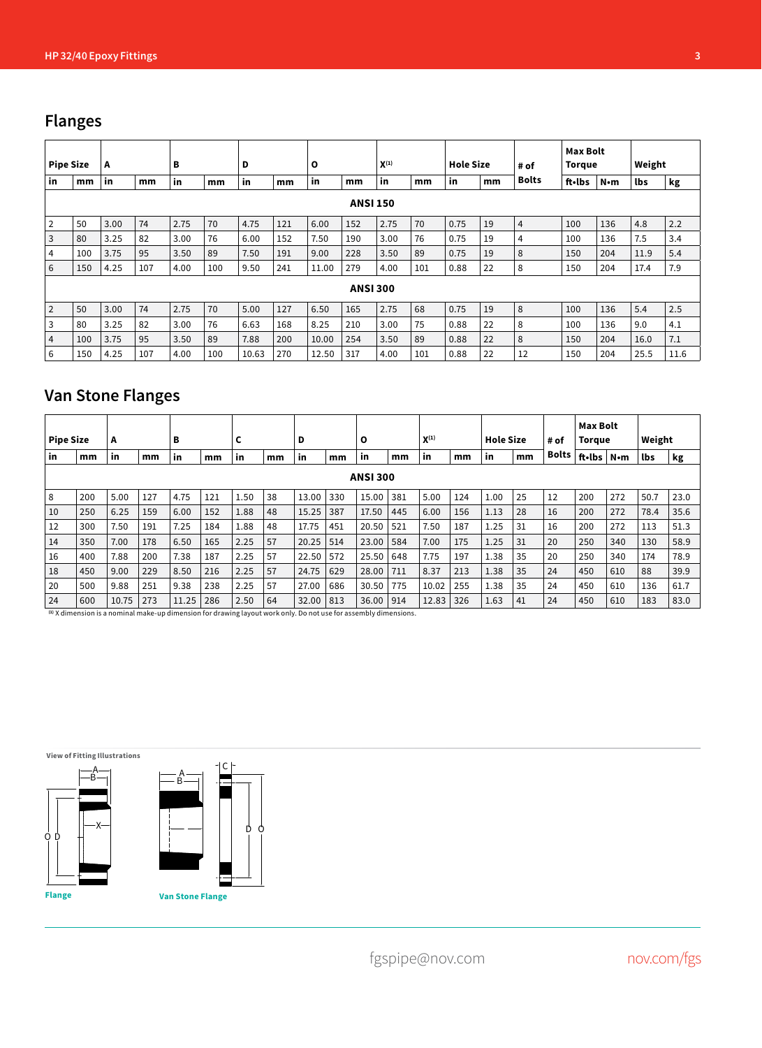# **Flanges**

| <b>Pipe Size</b> |                 | A    |     | в    |     | D     |     | O     |                 |      | $X^{(1)}$ |      | <b>Hole Size</b> |                      | <b>Max Bolt</b><br><b>Torque</b> |             | Weight |      |
|------------------|-----------------|------|-----|------|-----|-------|-----|-------|-----------------|------|-----------|------|------------------|----------------------|----------------------------------|-------------|--------|------|
| in               | mm              | in   | mm  | in   | mm  | in    | mm  | in    | mm              | in   | in<br>mm  |      | mm               | # of<br><b>Bolts</b> | ft•lbs                           | $N \cdot m$ | lbs    | kg   |
|                  | <b>ANSI 150</b> |      |     |      |     |       |     |       |                 |      |           |      |                  |                      |                                  |             |        |      |
| $\overline{2}$   | 50              | 3.00 | 74  | 2.75 | 70  | 4.75  | 121 | 6.00  | 152             | 2.75 | 70        | 0.75 | 19               | $\overline{4}$       | 100                              | 136         | 4.8    | 2.2  |
| 3                | 80              | 3.25 | 82  | 3.00 | 76  | 6.00  | 152 | 7.50  | 190             | 3.00 | 76        | 0.75 | 19               | 4                    | 100                              | 136         | 7.5    | 3.4  |
| 4                | 100             | 3.75 | 95  | 3.50 | 89  | 7.50  | 191 | 9.00  | 228             | 3.50 | 89        | 0.75 | 19               | 8                    | 150                              | 204         | 11.9   | 5.4  |
| 6                | 150             | 4.25 | 107 | 4.00 | 100 | 9.50  | 241 | 11.00 | 279             | 4.00 | 101       | 0.88 | 22               | 8                    | 150                              | 204         | 17.4   | 7.9  |
|                  |                 |      |     |      |     |       |     |       | <b>ANSI 300</b> |      |           |      |                  |                      |                                  |             |        |      |
| $\overline{2}$   | 50              | 3.00 | 74  | 2.75 | 70  | 5.00  | 127 | 6.50  | 165             | 2.75 | 68        | 0.75 | 19               | 8                    | 100                              | 136         | 5.4    | 2.5  |
| 3                | 80              | 3.25 | 82  | 3.00 | 76  | 6.63  | 168 | 8.25  | 210             | 3.00 | 75        | 0.88 | 22               | 8                    | 100                              | 136         | 9.0    | 4.1  |
| 4                | 100             | 3.75 | 95  | 3.50 | 89  | 7.88  | 200 | 10.00 | 254             | 3.50 | 89        | 0.88 | 22               | 8                    | 150                              | 204         | 16.0   | 7.1  |
| 6                | 150             | 4.25 | 107 | 4.00 | 100 | 10.63 | 270 | 12.50 | 317             | 4.00 | 101       | 0.88 | 22               | 12                   | 150                              | 204         | 25.5   | 11.6 |

## **Van Stone Flanges**

| <b>Pipe Size</b><br>A |                 | в     |     | c     | D   |      | O  |       |     |       | $X^{(1)}$ |       | <b>Hole Size</b> |      | <b>Max Bolt</b><br><b>Torque</b> |              | Weight |     |      |      |
|-----------------------|-----------------|-------|-----|-------|-----|------|----|-------|-----|-------|-----------|-------|------------------|------|----------------------------------|--------------|--------|-----|------|------|
| in                    | mm              | in    | mm  | in    | mm  | in   | mm | in    | mm  | in    | mm        | in    | mm               | in   | mm                               | <b>Bolts</b> | ft•lbs | N•m | lbs  | kg   |
|                       | <b>ANSI 300</b> |       |     |       |     |      |    |       |     |       |           |       |                  |      |                                  |              |        |     |      |      |
| 8                     | 200             | 5.00  | 127 | 4.75  | 121 | 1.50 | 38 | 13.00 | 330 | 15.00 | 381       | 5.00  | 124              | 1.00 | 25                               | 12           | 200    | 272 | 50.7 | 23.0 |
| 10                    | 250             | 6.25  | 159 | 6.00  | 152 | 1.88 | 48 | 15.25 | 387 | 17.50 | 445       | 6.00  | 156              | 1.13 | 28                               | 16           | 200    | 272 | 78.4 | 35.6 |
| 12                    | 300             | 7.50  | 191 | 7.25  | 184 | 1.88 | 48 | 17.75 | 451 | 20.50 | 521       | 7.50  | 187              | 1.25 | 31                               | 16           | 200    | 272 | 113  | 51.3 |
| 14                    | 350             | 7.00  | 178 | 6.50  | 165 | 2.25 | 57 | 20.25 | 514 | 23.00 | 584       | 7.00  | 175              | 1.25 | 31                               | 20           | 250    | 340 | 130  | 58.9 |
| 16                    | 400             | 7.88  | 200 | 7.38  | 187 | 2.25 | 57 | 22.50 | 572 | 25.50 | 648       | 7.75  | 197              | 1.38 | 35                               | 20           | 250    | 340 | 174  | 78.9 |
| 18                    | 450             | 9.00  | 229 | 8.50  | 216 | 2.25 | 57 | 24.75 | 629 | 28.00 | 711       | 8.37  | 213              | 1.38 | 35                               | 24           | 450    | 610 | 88   | 39.9 |
| 20                    | 500             | 9.88  | 251 | 9.38  | 238 | 2.25 | 57 | 27.00 | 686 | 30.50 | 775       | 10.02 | 255              | 1.38 | 35                               | 24           | 450    | 610 | 136  | 61.7 |
| 24                    | 600             | 10.75 | 273 | 11.25 | 286 | 2.50 | 64 | 32.00 | 813 | 36.00 | 914       | 12.83 | 326              | 1.63 | 41                               | 24           | 450    | 610 | 183  | 83.0 |

**(1)** X dimension is a nominal make-up dimension for drawing layout work only. Do not use for assembly dimensions.